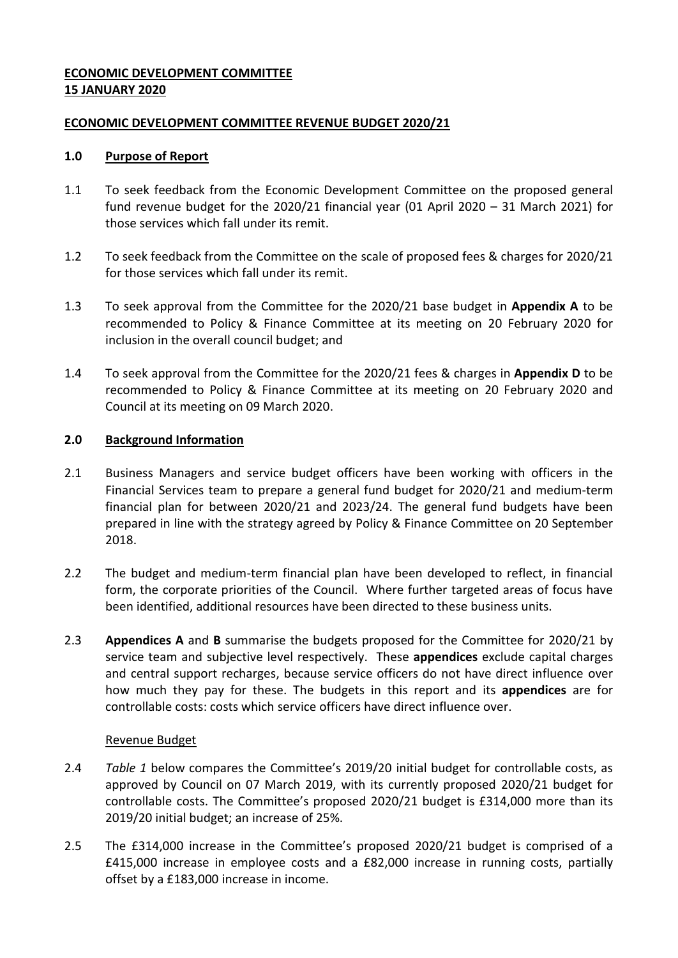# <span id="page-0-0"></span>**ECONOMIC DEVELOPMENT COMMITTEE 15 JANUARY 2020**

## <span id="page-0-1"></span>**[ECONOMIC DEVELOPMENT](#page-0-0) COMMITTEE REVENUE BUDGET 2020/21**

## **1.0 Purpose of Report**

- <span id="page-0-4"></span>1.1 To seek feedback from the Economic Development Committee on the proposed general fund revenue budget for the [2020/21](#page-0-1) financial year (01 April 2020 – 31 March 2021) for those services which fall under its remit.
- 1.2 To seek feedback from the Committee on the scale of proposed fees & charges for [2020/21](#page-0-1) for those services which fall under its remit.
- <span id="page-0-2"></span>1.3 To seek approval from the Committee for the [2020/21](#page-0-1) base budget in **Appendix A** to be recommended to Policy & Finance Committee at its meeting on 20 February 2020 for inclusion in the overall council budget; and
- <span id="page-0-5"></span>1.4 To seek approval from the Committee for the [2020/21](#page-0-1) fees & charges in **Appendix D** to be recommended to Policy & Finance Committee at its meeting on 20 [February 2020](#page-0-2) and Council at its meeting on 09 March 2020.

## **2.0 Background Information**

- 2.1 Business Managers and service budget officers have been working with officers in the Financial Services team to prepare a general fund budget for [2020/21](#page-0-1) and medium-term financial plan for between [2020/21](#page-0-1) and 2023/24. The general fund budgets have been prepared in line with the strategy agreed by Policy & Finance Committee on 20 September 2018.
- 2.2 The budget and medium-term financial plan have been developed to reflect, in financial form, the corporate priorities of the Council. Where further targeted areas of focus have been identified, additional resources have been directed to these business units.
- 2.3 **Appendices A** and **B** summarise the budgets proposed for the Committee for [2020/21](#page-0-1) by service team and subjective level respectively. These **appendices** exclude capital charges and central support recharges, because service officers do not have direct influence over how much they pay for these. The budgets in this report and its **appendices** are for controllable costs: costs which service officers have direct influence over.

### <span id="page-0-3"></span>Revenue Budget

- 2.4 *Table 1* below compares the Committee's 2019/20 initial budget for controllable costs, as approved by Council on 07 March 2019, with its currently proposed [2020/21](#page-0-1) budget for controllable costs. The Committee's proposed [2020/21](#page-0-1) budget is £314,000 more than its [2019/20](#page-0-3) initial budget; an increase of 25%.
- 2.5 The £314,000 increase in the Committee's proposed [2020/21](#page-0-1) budget is comprised of a £415,000 increase in employee costs and a £82,000 increase in running costs, partially offset by a £183,000 increase in income.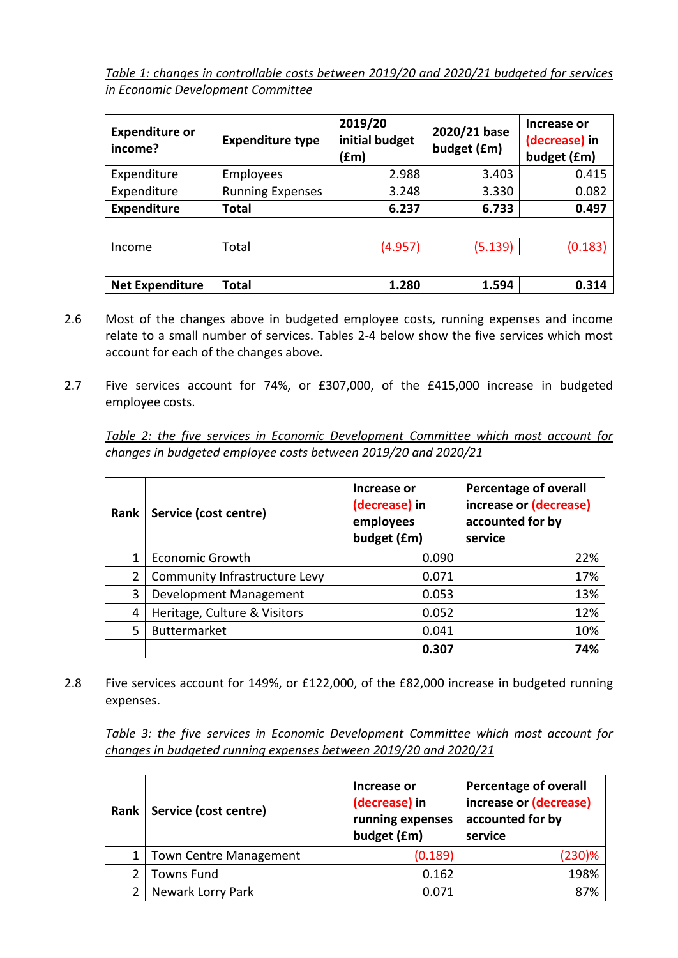*Table 1: changes in controllable costs between [2019/20](#page-0-3) and [2020/21](#page-0-1) budgeted for services in [Economic Development](#page-0-4) Committee* 

<span id="page-1-0"></span>

| <b>Expenditure or</b><br>income? | <b>Expenditure type</b> | 2019/20<br>initial budget<br>(£m) | 2020/21 base<br>budget (£m) | Increase or<br>(decrease) in<br>budget (£m) |
|----------------------------------|-------------------------|-----------------------------------|-----------------------------|---------------------------------------------|
| Expenditure                      | Employees               | 2.988                             | 3.403                       | 0.415                                       |
| Expenditure                      | <b>Running Expenses</b> | 3.248                             | 3.330                       | 0.082                                       |
| <b>Expenditure</b>               | Total                   | 6.237                             | 6.733                       | 0.497                                       |
|                                  |                         |                                   |                             |                                             |
| Income                           | Total                   | (4.957)                           | (5.139)                     | (0.183)                                     |
|                                  |                         |                                   |                             |                                             |
| <b>Net Expenditure</b>           | Total                   | 1.280                             | 1.594                       | 0.314                                       |

- 2.6 Most of the changes above in budgeted employee costs, running expenses and income relate to a small number of services. Tables 2-4 below show the five services which most account for each of the changes above.
- 2.7 Five services account for 74%, or £307,000, of the £415,000 increase in budgeted employee costs.

*Table 2: the five services in [Economic Development](#page-0-4) Committee which most account for changes in budgeted employee costs between [2019/20](#page-0-3) and [2020/21](#page-0-1)*

| Rank | Service (cost centre)         | Increase or<br>(decrease) in<br>employees<br>budget (£m) | <b>Percentage of overall</b><br>increase or (decrease)<br>accounted for by<br>service |
|------|-------------------------------|----------------------------------------------------------|---------------------------------------------------------------------------------------|
| 1    | <b>Economic Growth</b>        | 0.090                                                    | 22%                                                                                   |
| 2    | Community Infrastructure Levy | 0.071                                                    | 17%                                                                                   |
| 3    | Development Management        | 0.053                                                    | 13%                                                                                   |
| 4    | Heritage, Culture & Visitors  | 0.052                                                    | 12%                                                                                   |
| 5    | <b>Buttermarket</b>           | 0.041                                                    | 10%                                                                                   |
|      |                               | 0.307                                                    | 74%                                                                                   |

2.8 Five services account for 149%, or £122,000, of the £82,000 increase in budgeted running expenses.

*Table 3: the five services in [Economic Development](#page-0-4) Committee which most account for changes in budgeted running expenses between [2019/20](#page-0-3) and [2020/21](#page-0-1)*

| Rank | Service (cost centre)         | Increase or<br>(decrease) in<br>running expenses<br>budget (£m) | <b>Percentage of overall</b><br>increase or (decrease)<br>accounted for by<br>service |
|------|-------------------------------|-----------------------------------------------------------------|---------------------------------------------------------------------------------------|
|      | <b>Town Centre Management</b> | (0.189)                                                         | (230)%                                                                                |
|      | <b>Towns Fund</b>             | 0.162                                                           | 198%                                                                                  |
|      | Newark Lorry Park             | 0.071                                                           | 87%                                                                                   |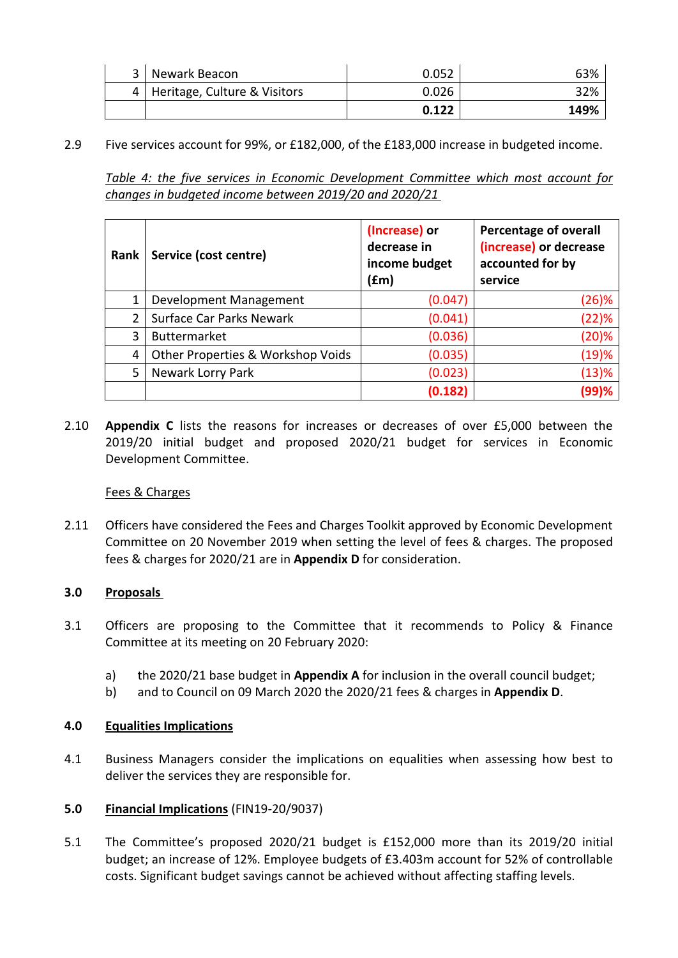| 3   Newark Beacon                | 0.052 | 63%  |
|----------------------------------|-------|------|
| 4   Heritage, Culture & Visitors | 0.026 | 32%  |
|                                  | 0.122 | 149% |

2.9 Five services account for 99%, or £182,000, of the £183,000 increase in budgeted income.

*Table 4: the five services in [Economic Development](#page-0-4) Committee which most account for changes in budgeted income between [2019/20](#page-0-3) and [2020/21](#page-0-1)*

| Rank | Service (cost centre)             | (Increase) or<br>decrease in<br>income budget<br>(£m) | <b>Percentage of overall</b><br>(increase) or decrease<br>accounted for by<br>service |
|------|-----------------------------------|-------------------------------------------------------|---------------------------------------------------------------------------------------|
| 1    | Development Management            | (0.047)                                               | (26)%                                                                                 |
| 2    | <b>Surface Car Parks Newark</b>   | (0.041)                                               | (22)%                                                                                 |
| 3    | <b>Buttermarket</b>               | (0.036)                                               | (20)%                                                                                 |
| 4    | Other Properties & Workshop Voids | (0.035)                                               | (19)%                                                                                 |
| 5    | Newark Lorry Park                 | (0.023)                                               | (13)%                                                                                 |
|      |                                   | (0.182)                                               | (99)%                                                                                 |

2.10 **Appendix C** lists the reasons for increases or decreases of over £5,000 between the [2019/20](#page-0-3) initial budget and proposed [2020/21](#page-0-1) budget for services in [Economic](#page-0-4)  [Development](#page-0-4) Committee.

### Fees & Charges

2.11 Officers have considered the Fees and Charges Toolkit approved by Economic Development Committee on 20 November 2019 when setting the level of fees & charges. The proposed fees & charges for [2020/21](#page-0-1) are in **Appendix D** for consideration.

# **3.0 Proposals**

- 3.1 Officers are proposing to the Committee that it recommends to Policy & Finance Committee at its meeting on 20 [February 2020:](#page-0-2)
	- a) the [2020/21](#page-0-1) base budget in **Appendix A** for inclusion in the overall council budget;
	- b) and to Council on [09 March 2020](#page-0-5) the [2020/21](#page-0-1) fees & charges in **Appendix D**.

# **4.0 Equalities Implications**

4.1 Business Managers consider the implications on equalities when assessing how best to deliver the services they are responsible for.

### **5.0 Financial Implications** (FIN19-20/9037)

5.1 The Committee's proposed [2020/21](#page-0-1) budget is £152,000 more than its [2019/20](#page-0-3) initial budget; an increase of 12%. Employee budgets of [£3.403m](#page-1-0) account for 52% of controllable costs. Significant budget savings cannot be achieved without affecting staffing levels.